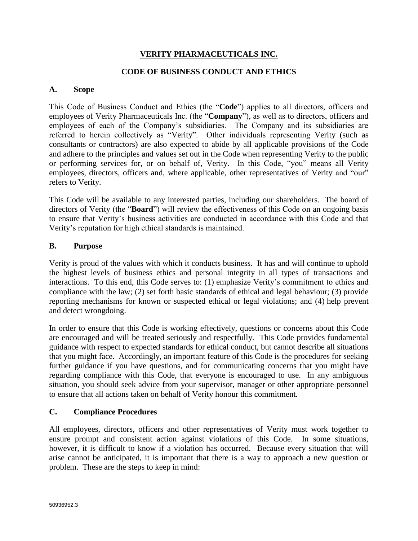# **VERITY PHARMACEUTICALS INC.**

### **CODE OF BUSINESS CONDUCT AND ETHICS**

#### **A. Scope**

This Code of Business Conduct and Ethics (the "**Code**") applies to all directors, officers and employees of Verity Pharmaceuticals Inc. (the "**Company**"), as well as to directors, officers and employees of each of the Company's subsidiaries. The Company and its subsidiaries are referred to herein collectively as "Verity". Other individuals representing Verity (such as consultants or contractors) are also expected to abide by all applicable provisions of the Code and adhere to the principles and values set out in the Code when representing Verity to the public or performing services for, or on behalf of, Verity. In this Code, "you" means all Verity employees, directors, officers and, where applicable, other representatives of Verity and "our" refers to Verity.

This Code will be available to any interested parties, including our shareholders. The board of directors of Verity (the "**Board**") will review the effectiveness of this Code on an ongoing basis to ensure that Verity's business activities are conducted in accordance with this Code and that Verity's reputation for high ethical standards is maintained.

#### **B. Purpose**

Verity is proud of the values with which it conducts business. It has and will continue to uphold the highest levels of business ethics and personal integrity in all types of transactions and interactions. To this end, this Code serves to: (1) emphasize Verity's commitment to ethics and compliance with the law; (2) set forth basic standards of ethical and legal behaviour; (3) provide reporting mechanisms for known or suspected ethical or legal violations; and (4) help prevent and detect wrongdoing.

In order to ensure that this Code is working effectively, questions or concerns about this Code are encouraged and will be treated seriously and respectfully. This Code provides fundamental guidance with respect to expected standards for ethical conduct, but cannot describe all situations that you might face. Accordingly, an important feature of this Code is the procedures for seeking further guidance if you have questions, and for communicating concerns that you might have regarding compliance with this Code, that everyone is encouraged to use. In any ambiguous situation, you should seek advice from your supervisor, manager or other appropriate personnel to ensure that all actions taken on behalf of Verity honour this commitment.

#### **C. Compliance Procedures**

All employees, directors, officers and other representatives of Verity must work together to ensure prompt and consistent action against violations of this Code. In some situations, however, it is difficult to know if a violation has occurred. Because every situation that will arise cannot be anticipated, it is important that there is a way to approach a new question or problem. These are the steps to keep in mind: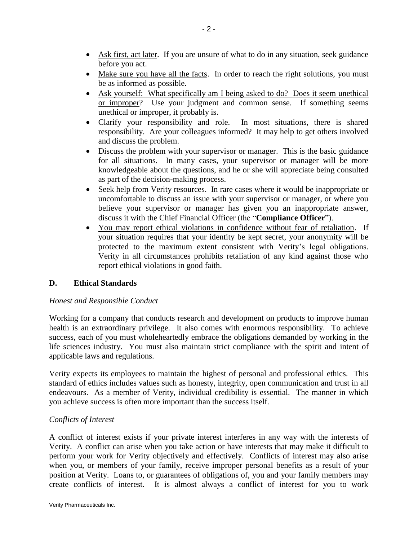- Ask first, act later. If you are unsure of what to do in any situation, seek guidance before you act.
- Make sure you have all the facts. In order to reach the right solutions, you must be as informed as possible.
- Ask yourself: What specifically am I being asked to do? Does it seem unethical or improper? Use your judgment and common sense. If something seems unethical or improper, it probably is.
- Clarify your responsibility and role. In most situations, there is shared responsibility. Are your colleagues informed? It may help to get others involved and discuss the problem.
- Discuss the problem with your supervisor or manager. This is the basic guidance for all situations. In many cases, your supervisor or manager will be more knowledgeable about the questions, and he or she will appreciate being consulted as part of the decision-making process.
- Seek help from Verity resources. In rare cases where it would be inappropriate or uncomfortable to discuss an issue with your supervisor or manager, or where you believe your supervisor or manager has given you an inappropriate answer, discuss it with the Chief Financial Officer (the "**Compliance Officer**").
- You may report ethical violations in confidence without fear of retaliation. If your situation requires that your identity be kept secret, your anonymity will be protected to the maximum extent consistent with Verity's legal obligations. Verity in all circumstances prohibits retaliation of any kind against those who report ethical violations in good faith.

# **D. Ethical Standards**

# *Honest and Responsible Conduct*

Working for a company that conducts research and development on products to improve human health is an extraordinary privilege. It also comes with enormous responsibility. To achieve success, each of you must wholeheartedly embrace the obligations demanded by working in the life sciences industry. You must also maintain strict compliance with the spirit and intent of applicable laws and regulations.

Verity expects its employees to maintain the highest of personal and professional ethics. This standard of ethics includes values such as honesty, integrity, open communication and trust in all endeavours. As a member of Verity, individual credibility is essential. The manner in which you achieve success is often more important than the success itself.

# *Conflicts of Interest*

A conflict of interest exists if your private interest interferes in any way with the interests of Verity. A conflict can arise when you take action or have interests that may make it difficult to perform your work for Verity objectively and effectively. Conflicts of interest may also arise when you, or members of your family, receive improper personal benefits as a result of your position at Verity. Loans to, or guarantees of obligations of, you and your family members may create conflicts of interest. It is almost always a conflict of interest for you to work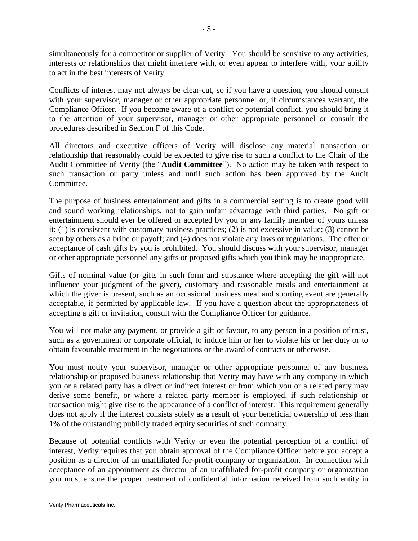simultaneously for a competitor or supplier of Verity. You should be sensitive to any activities, interests or relationships that might interfere with, or even appear to interfere with, your ability to act in the best interests of Verity.

Conflicts of interest may not always be clear-cut, so if you have a question, you should consult with your supervisor, manager or other appropriate personnel or, if circumstances warrant, the Compliance Officer. If you become aware of a conflict or potential conflict, you should bring it to the attention of your supervisor, manager or other appropriate personnel or consult the procedures described in Section F of this Code.

All directors and executive officers of Verity will disclose any material transaction or relationship that reasonably could be expected to give rise to such a conflict to the Chair of the Audit Committee of Verity (the "**Audit Committee**"). No action may be taken with respect to such transaction or party unless and until such action has been approved by the Audit Committee.

The purpose of business entertainment and gifts in a commercial setting is to create good will and sound working relationships, not to gain unfair advantage with third parties. No gift or entertainment should ever be offered or accepted by you or any family member of yours unless it: (1) is consistent with customary business practices; (2) is not excessive in value; (3) cannot be seen by others as a bribe or payoff; and (4) does not violate any laws or regulations. The offer or acceptance of cash gifts by you is prohibited. You should discuss with your supervisor, manager or other appropriate personnel any gifts or proposed gifts which you think may be inappropriate.

Gifts of nominal value (or gifts in such form and substance where accepting the gift will not influence your judgment of the giver), customary and reasonable meals and entertainment at which the giver is present, such as an occasional business meal and sporting event are generally acceptable, if permitted by applicable law. If you have a question about the appropriateness of accepting a gift or invitation, consult with the Compliance Officer for guidance.

You will not make any payment, or provide a gift or favour, to any person in a position of trust, such as a government or corporate official, to induce him or her to violate his or her duty or to obtain favourable treatment in the negotiations or the award of contracts or otherwise.

You must notify your supervisor, manager or other appropriate personnel of any business relationship or proposed business relationship that Verity may have with any company in which you or a related party has a direct or indirect interest or from which you or a related party may derive some benefit, or where a related party member is employed, if such relationship or transaction might give rise to the appearance of a conflict of interest. This requirement generally does not apply if the interest consists solely as a result of your beneficial ownership of less than 1% of the outstanding publicly traded equity securities of such company.

Because of potential conflicts with Verity or even the potential perception of a conflict of interest, Verity requires that you obtain approval of the Compliance Officer before you accept a position as a director of an unaffiliated for-profit company or organization. In connection with acceptance of an appointment as director of an unaffiliated for-profit company or organization you must ensure the proper treatment of confidential information received from such entity in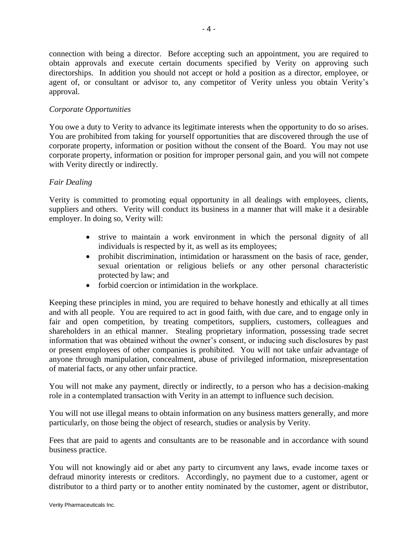connection with being a director. Before accepting such an appointment, you are required to obtain approvals and execute certain documents specified by Verity on approving such directorships. In addition you should not accept or hold a position as a director, employee, or agent of, or consultant or advisor to, any competitor of Verity unless you obtain Verity's approval.

# *Corporate Opportunities*

You owe a duty to Verity to advance its legitimate interests when the opportunity to do so arises. You are prohibited from taking for yourself opportunities that are discovered through the use of corporate property, information or position without the consent of the Board. You may not use corporate property, information or position for improper personal gain, and you will not compete with Verity directly or indirectly.

# *Fair Dealing*

Verity is committed to promoting equal opportunity in all dealings with employees, clients, suppliers and others. Verity will conduct its business in a manner that will make it a desirable employer. In doing so, Verity will:

- strive to maintain a work environment in which the personal dignity of all individuals is respected by it, as well as its employees;
- prohibit discrimination, intimidation or harassment on the basis of race, gender, sexual orientation or religious beliefs or any other personal characteristic protected by law; and
- forbid coercion or intimidation in the workplace.

Keeping these principles in mind, you are required to behave honestly and ethically at all times and with all people. You are required to act in good faith, with due care, and to engage only in fair and open competition, by treating competitors, suppliers, customers, colleagues and shareholders in an ethical manner. Stealing proprietary information, possessing trade secret information that was obtained without the owner's consent, or inducing such disclosures by past or present employees of other companies is prohibited. You will not take unfair advantage of anyone through manipulation, concealment, abuse of privileged information, misrepresentation of material facts, or any other unfair practice.

You will not make any payment, directly or indirectly, to a person who has a decision-making role in a contemplated transaction with Verity in an attempt to influence such decision.

You will not use illegal means to obtain information on any business matters generally, and more particularly, on those being the object of research, studies or analysis by Verity.

Fees that are paid to agents and consultants are to be reasonable and in accordance with sound business practice.

You will not knowingly aid or abet any party to circumvent any laws, evade income taxes or defraud minority interests or creditors. Accordingly, no payment due to a customer, agent or distributor to a third party or to another entity nominated by the customer, agent or distributor,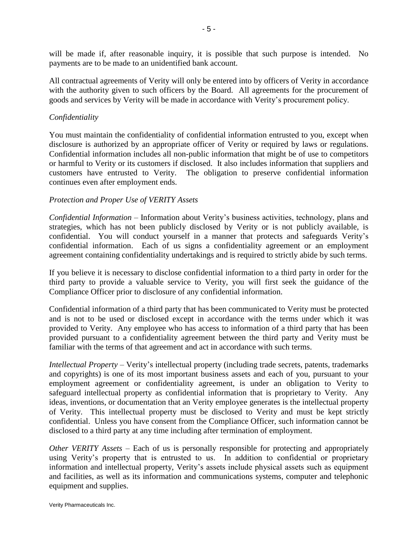will be made if, after reasonable inquiry, it is possible that such purpose is intended. No payments are to be made to an unidentified bank account.

All contractual agreements of Verity will only be entered into by officers of Verity in accordance with the authority given to such officers by the Board. All agreements for the procurement of goods and services by Verity will be made in accordance with Verity's procurement policy.

#### *Confidentiality*

You must maintain the confidentiality of confidential information entrusted to you, except when disclosure is authorized by an appropriate officer of Verity or required by laws or regulations. Confidential information includes all non-public information that might be of use to competitors or harmful to Verity or its customers if disclosed. It also includes information that suppliers and customers have entrusted to Verity. The obligation to preserve confidential information continues even after employment ends.

#### *Protection and Proper Use of VERITY Assets*

*Confidential Information* – Information about Verity's business activities, technology, plans and strategies, which has not been publicly disclosed by Verity or is not publicly available, is confidential. You will conduct yourself in a manner that protects and safeguards Verity's confidential information. Each of us signs a confidentiality agreement or an employment agreement containing confidentiality undertakings and is required to strictly abide by such terms.

If you believe it is necessary to disclose confidential information to a third party in order for the third party to provide a valuable service to Verity, you will first seek the guidance of the Compliance Officer prior to disclosure of any confidential information.

Confidential information of a third party that has been communicated to Verity must be protected and is not to be used or disclosed except in accordance with the terms under which it was provided to Verity. Any employee who has access to information of a third party that has been provided pursuant to a confidentiality agreement between the third party and Verity must be familiar with the terms of that agreement and act in accordance with such terms.

*Intellectual Property* – Verity's intellectual property (including trade secrets, patents, trademarks and copyrights) is one of its most important business assets and each of you, pursuant to your employment agreement or confidentiality agreement, is under an obligation to Verity to safeguard intellectual property as confidential information that is proprietary to Verity. Any ideas, inventions, or documentation that an Verity employee generates is the intellectual property of Verity. This intellectual property must be disclosed to Verity and must be kept strictly confidential. Unless you have consent from the Compliance Officer, such information cannot be disclosed to a third party at any time including after termination of employment.

*Other VERITY Assets* – Each of us is personally responsible for protecting and appropriately using Verity's property that is entrusted to us. In addition to confidential or proprietary information and intellectual property, Verity's assets include physical assets such as equipment and facilities, as well as its information and communications systems, computer and telephonic equipment and supplies.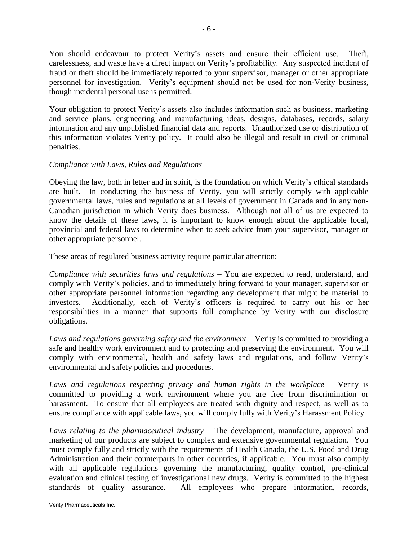You should endeavour to protect Verity's assets and ensure their efficient use. Theft, carelessness, and waste have a direct impact on Verity's profitability. Any suspected incident of fraud or theft should be immediately reported to your supervisor, manager or other appropriate personnel for investigation. Verity's equipment should not be used for non-Verity business, though incidental personal use is permitted.

Your obligation to protect Verity's assets also includes information such as business, marketing and service plans, engineering and manufacturing ideas, designs, databases, records, salary information and any unpublished financial data and reports. Unauthorized use or distribution of this information violates Verity policy. It could also be illegal and result in civil or criminal penalties.

#### *Compliance with Laws, Rules and Regulations*

Obeying the law, both in letter and in spirit, is the foundation on which Verity's ethical standards are built. In conducting the business of Verity, you will strictly comply with applicable governmental laws, rules and regulations at all levels of government in Canada and in any non-Canadian jurisdiction in which Verity does business. Although not all of us are expected to know the details of these laws, it is important to know enough about the applicable local, provincial and federal laws to determine when to seek advice from your supervisor, manager or other appropriate personnel.

These areas of regulated business activity require particular attention:

*Compliance with securities laws and regulations* – You are expected to read, understand, and comply with Verity's policies, and to immediately bring forward to your manager, supervisor or other appropriate personnel information regarding any development that might be material to investors. Additionally, each of Verity's officers is required to carry out his or her responsibilities in a manner that supports full compliance by Verity with our disclosure obligations.

*Laws and regulations governing safety and the environment* – Verity is committed to providing a safe and healthy work environment and to protecting and preserving the environment. You will comply with environmental, health and safety laws and regulations, and follow Verity's environmental and safety policies and procedures.

*Laws and regulations respecting privacy and human rights in the workplace* – Verity is committed to providing a work environment where you are free from discrimination or harassment. To ensure that all employees are treated with dignity and respect, as well as to ensure compliance with applicable laws, you will comply fully with Verity's Harassment Policy.

*Laws relating to the pharmaceutical industry* – The development, manufacture, approval and marketing of our products are subject to complex and extensive governmental regulation. You must comply fully and strictly with the requirements of Health Canada, the U.S. Food and Drug Administration and their counterparts in other countries, if applicable. You must also comply with all applicable regulations governing the manufacturing, quality control, pre-clinical evaluation and clinical testing of investigational new drugs. Verity is committed to the highest standards of quality assurance. All employees who prepare information, records,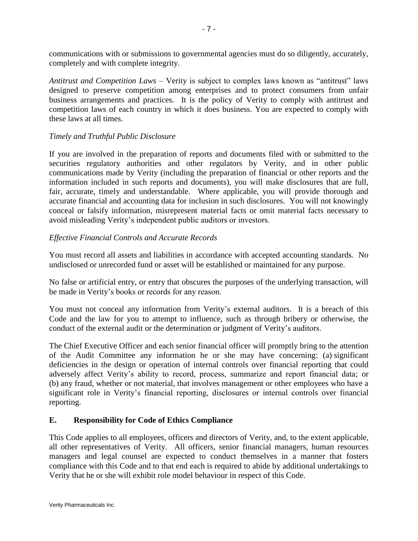communications with or submissions to governmental agencies must do so diligently, accurately, completely and with complete integrity.

*Antitrust and Competition Laws* – Verity is subject to complex laws known as "antitrust" laws designed to preserve competition among enterprises and to protect consumers from unfair business arrangements and practices. It is the policy of Verity to comply with antitrust and competition laws of each country in which it does business. You are expected to comply with these laws at all times.

### *Timely and Truthful Public Disclosure*

If you are involved in the preparation of reports and documents filed with or submitted to the securities regulatory authorities and other regulators by Verity, and in other public communications made by Verity (including the preparation of financial or other reports and the information included in such reports and documents), you will make disclosures that are full, fair, accurate, timely and understandable. Where applicable, you will provide thorough and accurate financial and accounting data for inclusion in such disclosures. You will not knowingly conceal or falsify information, misrepresent material facts or omit material facts necessary to avoid misleading Verity's independent public auditors or investors.

# *Effective Financial Controls and Accurate Records*

You must record all assets and liabilities in accordance with accepted accounting standards. No undisclosed or unrecorded fund or asset will be established or maintained for any purpose.

No false or artificial entry, or entry that obscures the purposes of the underlying transaction, will be made in Verity's books or records for any reason.

You must not conceal any information from Verity's external auditors. It is a breach of this Code and the law for you to attempt to influence, such as through bribery or otherwise, the conduct of the external audit or the determination or judgment of Verity's auditors.

The Chief Executive Officer and each senior financial officer will promptly bring to the attention of the Audit Committee any information he or she may have concerning: (a) significant deficiencies in the design or operation of internal controls over financial reporting that could adversely affect Verity's ability to record, process, summarize and report financial data; or (b) any fraud, whether or not material, that involves management or other employees who have a significant role in Verity's financial reporting, disclosures or internal controls over financial reporting.

#### **E. Responsibility for Code of Ethics Compliance**

This Code applies to all employees, officers and directors of Verity, and, to the extent applicable, all other representatives of Verity. All officers, senior financial managers, human resources managers and legal counsel are expected to conduct themselves in a manner that fosters compliance with this Code and to that end each is required to abide by additional undertakings to Verity that he or she will exhibit role model behaviour in respect of this Code.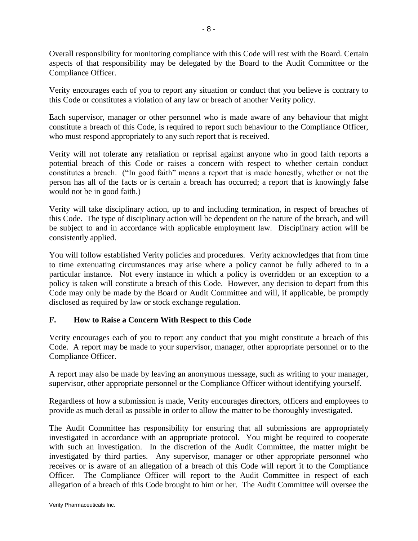Overall responsibility for monitoring compliance with this Code will rest with the Board. Certain aspects of that responsibility may be delegated by the Board to the Audit Committee or the Compliance Officer.

Verity encourages each of you to report any situation or conduct that you believe is contrary to this Code or constitutes a violation of any law or breach of another Verity policy.

Each supervisor, manager or other personnel who is made aware of any behaviour that might constitute a breach of this Code, is required to report such behaviour to the Compliance Officer, who must respond appropriately to any such report that is received.

Verity will not tolerate any retaliation or reprisal against anyone who in good faith reports a potential breach of this Code or raises a concern with respect to whether certain conduct constitutes a breach. ("In good faith" means a report that is made honestly, whether or not the person has all of the facts or is certain a breach has occurred; a report that is knowingly false would not be in good faith.)

Verity will take disciplinary action, up to and including termination, in respect of breaches of this Code. The type of disciplinary action will be dependent on the nature of the breach, and will be subject to and in accordance with applicable employment law. Disciplinary action will be consistently applied.

You will follow established Verity policies and procedures. Verity acknowledges that from time to time extenuating circumstances may arise where a policy cannot be fully adhered to in a particular instance. Not every instance in which a policy is overridden or an exception to a policy is taken will constitute a breach of this Code. However, any decision to depart from this Code may only be made by the Board or Audit Committee and will, if applicable, be promptly disclosed as required by law or stock exchange regulation.

# **F. How to Raise a Concern With Respect to this Code**

Verity encourages each of you to report any conduct that you might constitute a breach of this Code. A report may be made to your supervisor, manager, other appropriate personnel or to the Compliance Officer.

A report may also be made by leaving an anonymous message, such as writing to your manager, supervisor, other appropriate personnel or the Compliance Officer without identifying yourself.

Regardless of how a submission is made, Verity encourages directors, officers and employees to provide as much detail as possible in order to allow the matter to be thoroughly investigated.

The Audit Committee has responsibility for ensuring that all submissions are appropriately investigated in accordance with an appropriate protocol. You might be required to cooperate with such an investigation. In the discretion of the Audit Committee, the matter might be investigated by third parties. Any supervisor, manager or other appropriate personnel who receives or is aware of an allegation of a breach of this Code will report it to the Compliance Officer. The Compliance Officer will report to the Audit Committee in respect of each allegation of a breach of this Code brought to him or her. The Audit Committee will oversee the